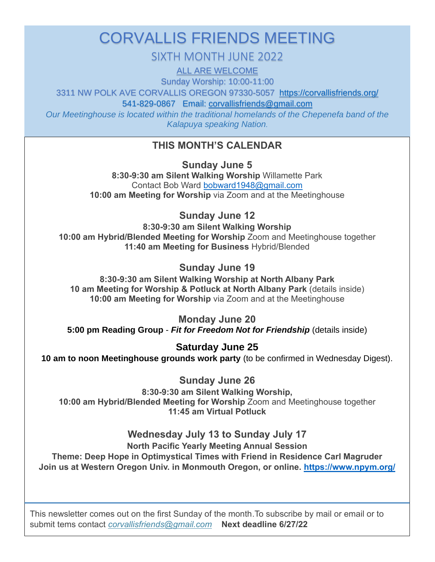# CORVALLIS FRIENDS MEETING

# SIXTH MONTH JUNE 2022

ALL ARE WELCOME

Sunday Worship: 10:00-11:00

3311 NW POLK AVE CORVALLIS OREGON 97330-5057 <https://corvallisfriends.org/>

541-829-0867 Email: [corvallisfriends@gmail.com](file:///C:/Users/ERS/Desktop/Documents/corvallisfriends@gmail.com)

*Our Meetinghouse is located within the traditional homelands of the Chepenefa band of the Kalapuya speaking Nation.*

## **THIS MONTH'S CALENDAR**

**Sunday June 5**

**8:30-9:30 am Silent Walking Worship** Willamette Park Contact Bob Ward [bobward1948@gmail.com](mailto:bobward1948@gmail.com) **10:00 am Meeting for Worship** via Zoom and at the Meetinghouse

## **Sunday June 12**

**8:30-9:30 am Silent Walking Worship 10:00 am Hybrid/Blended Meeting for Worship** Zoom and Meetinghouse together **11:40 am Meeting for Business** Hybrid/Blended

**Sunday June 19**

**8:30-9:30 am Silent Walking Worship at North Albany Park 10 am Meeting for Worship & Potluck at North Albany Park** (details inside) **10:00 am Meeting for Worship** via Zoom and at the Meetinghouse

**Monday June 20**

**5:00 pm Reading Group** - *Fit for Freedom Not for Friendship* (details inside)

## **Saturday June 25**

**10 am to noon Meetinghouse grounds work party** (to be confirmed in Wednesday Digest).

**Sunday June 26**

**8:30-9:30 am Silent Walking Worship, 10:00 am Hybrid/Blended Meeting for Worship** Zoom and Meetinghouse together **11:45 am Virtual Potluck**

## **Wednesday July 13 to Sunday July 17**

**North Pacific Yearly Meeting Annual Session**

**Theme: Deep Hope in Optimystical Times with Friend in Residence Carl Magruder Join us at Western Oregon Univ. in Monmouth Oregon, or online. <https://www.npym.org/>**

This newsletter comes out on the first Sunday of the month.To subscribe by mail or email or to submit tems contact *[corvallisfriends@gmail.com](mailto:corvallisfriends@gmail.com)* **Next deadline 6/27/22**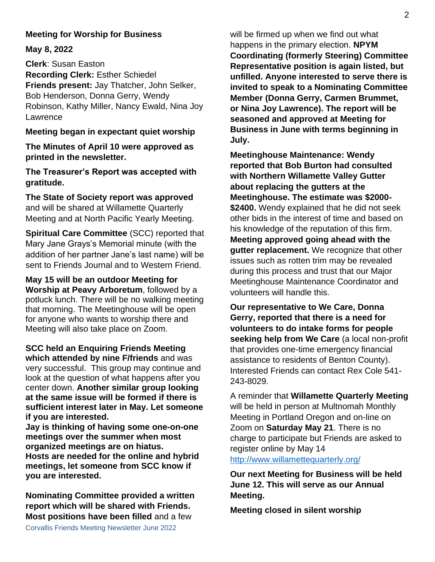### **Meeting for Worship for Business**

### **May 8, 2022**

**Clerk**: Susan Easton **Recording Clerk:** Esther Schiedel **Friends present:** Jay Thatcher, John Selker, Bob Henderson, Donna Gerry, Wendy Robinson, Kathy Miller, Nancy Ewald, Nina Joy Lawrence

### **Meeting began in expectant quiet worship**

**The Minutes of April 10 were approved as printed in the newsletter.**

**The Treasurer's Report was accepted with gratitude.**

**The State of Society report was approved** and will be shared at Willamette Quarterly Meeting and at North Pacific Yearly Meeting.

**Spiritual Care Committee** (SCC) reported that Mary Jane Grays's Memorial minute (with the addition of her partner Jane's last name) will be sent to Friends Journal and to Western Friend.

**May 15 will be an outdoor Meeting for Worship at Peavy Arboretum**, followed by a potluck lunch. There will be no walking meeting that morning. The Meetinghouse will be open for anyone who wants to worship there and Meeting will also take place on Zoom.

**SCC held an Enquiring Friends Meeting which attended by nine F/friends** and was very successful. This group may continue and look at the question of what happens after you center down. **Another similar group looking at the same issue will be formed if there is sufficient interest later in May. Let someone if you are interested.**

**Jay is thinking of having some one-on-one meetings over the summer when most organized meetings are on hiatus. Hosts are needed for the online and hybrid meetings, let someone from SCC know if you are interested.**

**Nominating Committee provided a written report which will be shared with Friends. Most positions have been filled** and a few

will be firmed up when we find out what happens in the primary election. **NPYM Coordinating (formerly Steering) Committee Representative position is again listed, but unfilled. Anyone interested to serve there is invited to speak to a Nominating Committee Member (Donna Gerry, Carmen Brummet, or Nina Joy Lawrence). The report will be seasoned and approved at Meeting for Business in June with terms beginning in July.** 

**Meetinghouse Maintenance: Wendy reported that Bob Burton had consulted with Northern Willamette Valley Gutter about replacing the gutters at the Meetinghouse. The estimate was \$2000- \$2400.** Wendy explained that he did not seek other bids in the interest of time and based on his knowledge of the reputation of this firm. **Meeting approved going ahead with the gutter replacement.** We recognize that other issues such as rotten trim may be revealed during this process and trust that our Major Meetinghouse Maintenance Coordinator and volunteers will handle this.

**Our representative to We Care, Donna Gerry, reported that there is a need for volunteers to do intake forms for people seeking help from We Care** (a local non-profit that provides one-time emergency financial assistance to residents of Benton County). Interested Friends can contact Rex Cole 541- 243-8029.

A reminder that **Willamette Quarterly Meeting** will be held in person at Multnomah Monthly Meeting in Portland Oregon and on-line on Zoom on **Saturday May 21**. There is no charge to participate but Friends are asked to register online by May 14 <http://www.willamettequarterly.org/>

**Our next Meeting for Business will be held June 12. This will serve as our Annual Meeting.** 

**Meeting closed in silent worship**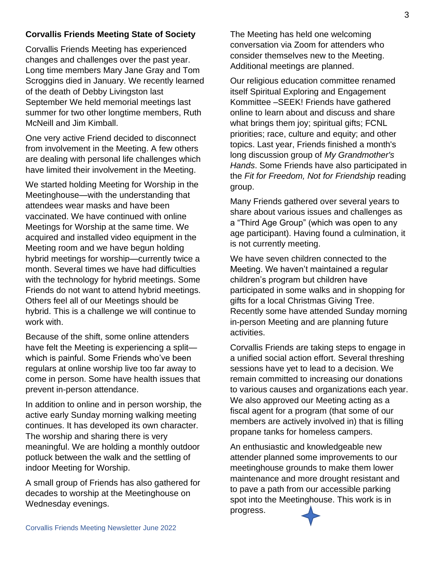## **Corvallis Friends Meeting State of Society**

Corvallis Friends Meeting has experienced changes and challenges over the past year. Long time members Mary Jane Gray and Tom Scroggins died in January. We recently learned of the death of Debby Livingston last September We held memorial meetings last summer for two other longtime members, Ruth McNeill and Jim Kimball.

One very active Friend decided to disconnect from involvement in the Meeting. A few others are dealing with personal life challenges which have limited their involvement in the Meeting.

We started holding Meeting for Worship in the Meetinghouse—with the understanding that attendees wear masks and have been vaccinated. We have continued with online Meetings for Worship at the same time. We acquired and installed video equipment in the Meeting room and we have begun holding hybrid meetings for worship—currently twice a month. Several times we have had difficulties with the technology for hybrid meetings. Some Friends do not want to attend hybrid meetings. Others feel all of our Meetings should be hybrid. This is a challenge we will continue to work with.

Because of the shift, some online attenders have felt the Meeting is experiencing a split which is painful. Some Friends who've been regulars at online worship live too far away to come in person. Some have health issues that prevent in-person attendance.

In addition to online and in person worship, the active early Sunday morning walking meeting continues. It has developed its own character. The worship and sharing there is very meaningful. We are holding a monthly outdoor potluck between the walk and the settling of indoor Meeting for Worship.

A small group of Friends has also gathered for decades to worship at the Meetinghouse on Wednesday evenings.

The Meeting has held one welcoming conversation via Zoom for attenders who consider themselves new to the Meeting. Additional meetings are planned.

Our religious education committee renamed itself Spiritual Exploring and Engagement Kommittee –SEEK! Friends have gathered online to learn about and discuss and share what brings them joy; spiritual gifts; FCNL priorities; race, culture and equity; and other topics. Last year, Friends finished a month's long discussion group of *My Grandmother's Hands*. Some Friends have also participated in the *Fit for Freedom, Not for Friendship* reading group.

Many Friends gathered over several years to share about various issues and challenges as a "Third Age Group" (which was open to any age participant). Having found a culmination, it is not currently meeting.

We have seven children connected to the Meeting. We haven't maintained a regular children's program but children have participated in some walks and in shopping for gifts for a local Christmas Giving Tree. Recently some have attended Sunday morning in-person Meeting and are planning future activities.

Corvallis Friends are taking steps to engage in a unified social action effort. Several threshing sessions have yet to lead to a decision. We remain committed to increasing our donations to various causes and organizations each year. We also approved our Meeting acting as a fiscal agent for a program (that some of our members are actively involved in) that is filling propane tanks for homeless campers.

An enthusiastic and knowledgeable new attender planned some improvements to our meetinghouse grounds to make them lower maintenance and more drought resistant and to pave a path from our accessible parking spot into the Meetinghouse. This work is in progress.